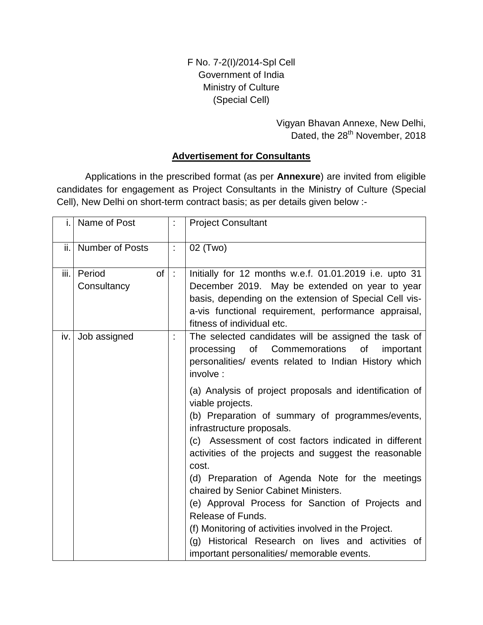F No. 7-2(I)/2014-Spl Cell Government of India Ministry of Culture (Special Cell)

> Vigyan Bhavan Annexe, New Delhi, Dated, the 28<sup>th</sup> November, 2018

### **Advertisement for Consultants**

Applications in the prescribed format (as per **Annexure**) are invited from eligible candidates for engagement as Project Consultants in the Ministry of Culture (Special Cell), New Delhi on short-term contract basis; as per details given below :-

| i.   | Name of Post                | t              | <b>Project Consultant</b>                                                                                                                                                                                                                                                                                                                                                                                                                                                                                                                                                                                                                                                                                                                                                                                  |  |
|------|-----------------------------|----------------|------------------------------------------------------------------------------------------------------------------------------------------------------------------------------------------------------------------------------------------------------------------------------------------------------------------------------------------------------------------------------------------------------------------------------------------------------------------------------------------------------------------------------------------------------------------------------------------------------------------------------------------------------------------------------------------------------------------------------------------------------------------------------------------------------------|--|
|      | ii.   Number of Posts       | t              | 02 (Two)                                                                                                                                                                                                                                                                                                                                                                                                                                                                                                                                                                                                                                                                                                                                                                                                   |  |
| iii. | Period<br>of<br>Consultancy | $\ddot{\cdot}$ | Initially for 12 months w.e.f. 01.01.2019 i.e. upto 31<br>December 2019. May be extended on year to year<br>basis, depending on the extension of Special Cell vis-<br>a-vis functional requirement, performance appraisal,<br>fitness of individual etc.                                                                                                                                                                                                                                                                                                                                                                                                                                                                                                                                                   |  |
| iv.  | Job assigned                |                | The selected candidates will be assigned the task of<br>of Commemorations of<br>processing<br>important<br>personalities/ events related to Indian History which<br>involve :<br>(a) Analysis of project proposals and identification of<br>viable projects.<br>(b) Preparation of summary of programmes/events,<br>infrastructure proposals.<br>(c) Assessment of cost factors indicated in different<br>activities of the projects and suggest the reasonable<br>cost.<br>(d) Preparation of Agenda Note for the meetings<br>chaired by Senior Cabinet Ministers.<br>(e) Approval Process for Sanction of Projects and<br>Release of Funds.<br>(f) Monitoring of activities involved in the Project.<br>(g) Historical Research on lives and activities of<br>important personalities/ memorable events. |  |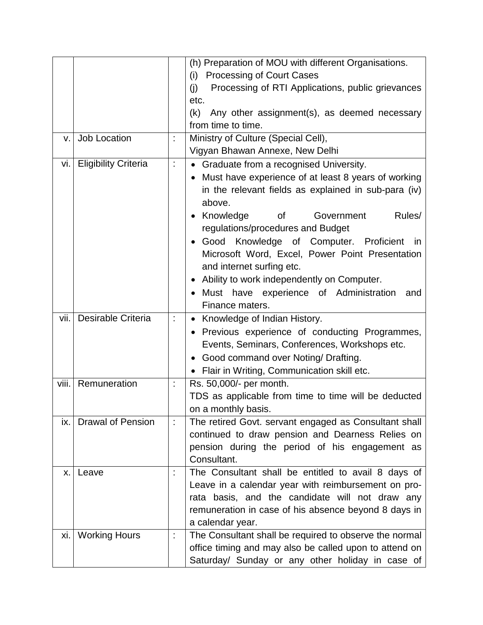|       |                            |                      | (h) Preparation of MOU with different Organisations.           |  |  |  |
|-------|----------------------------|----------------------|----------------------------------------------------------------|--|--|--|
|       |                            |                      | <b>Processing of Court Cases</b><br>(i)                        |  |  |  |
|       |                            |                      | Processing of RTI Applications, public grievances<br>(i)       |  |  |  |
|       |                            |                      | etc.                                                           |  |  |  |
|       |                            |                      | (k)<br>Any other assignment(s), as deemed necessary            |  |  |  |
|       |                            |                      | from time to time.                                             |  |  |  |
| V.    | Job Location               | t                    | Ministry of Culture (Special Cell),                            |  |  |  |
|       |                            |                      | Vigyan Bhawan Annexe, New Delhi                                |  |  |  |
|       | vi.   Eligibility Criteria |                      | • Graduate from a recognised University.                       |  |  |  |
|       |                            |                      | Must have experience of at least 8 years of working            |  |  |  |
|       |                            |                      | in the relevant fields as explained in sub-para (iv)<br>above. |  |  |  |
|       |                            |                      | Rules/<br>Government<br>0f                                     |  |  |  |
|       |                            |                      | Knowledge<br>regulations/procedures and Budget                 |  |  |  |
|       |                            |                      | Good Knowledge of Computer. Proficient<br>in                   |  |  |  |
|       |                            |                      | Microsoft Word, Excel, Power Point Presentation                |  |  |  |
|       |                            |                      | and internet surfing etc.                                      |  |  |  |
|       |                            |                      | Ability to work independently on Computer.                     |  |  |  |
|       |                            |                      | Must have experience of Administration<br>and                  |  |  |  |
|       |                            |                      | Finance maters.                                                |  |  |  |
| vii.  | Desirable Criteria         | Ì,                   | • Knowledge of Indian History.                                 |  |  |  |
|       |                            |                      | Previous experience of conducting Programmes,                  |  |  |  |
|       |                            |                      | Events, Seminars, Conferences, Workshops etc.                  |  |  |  |
|       |                            |                      | • Good command over Noting/ Drafting.                          |  |  |  |
|       |                            |                      | • Flair in Writing, Communication skill etc.                   |  |  |  |
| viii. | Remuneration               |                      | Rs. 50,000/- per month.                                        |  |  |  |
|       |                            |                      | TDS as applicable from time to time will be deducted           |  |  |  |
|       |                            |                      | on a monthly basis.                                            |  |  |  |
| ix. I | <b>Drawal of Pension</b>   | $\ddot{\phantom{0}}$ | The retired Govt. servant engaged as Consultant shall          |  |  |  |
|       |                            |                      | continued to draw pension and Dearness Relies on               |  |  |  |
|       |                            |                      | pension during the period of his engagement as                 |  |  |  |
|       |                            |                      | Consultant.                                                    |  |  |  |
| X.    | Leave                      | İ                    | The Consultant shall be entitled to avail 8 days of            |  |  |  |
|       |                            |                      | Leave in a calendar year with reimbursement on pro-            |  |  |  |
|       |                            |                      | rata basis, and the candidate will not draw any                |  |  |  |
|       |                            |                      | remuneration in case of his absence beyond 8 days in           |  |  |  |
|       |                            |                      | a calendar year.                                               |  |  |  |
| xi.   | <b>Working Hours</b>       | İ.                   | The Consultant shall be required to observe the normal         |  |  |  |
|       |                            |                      | office timing and may also be called upon to attend on         |  |  |  |
|       |                            |                      | Saturday/ Sunday or any other holiday in case of               |  |  |  |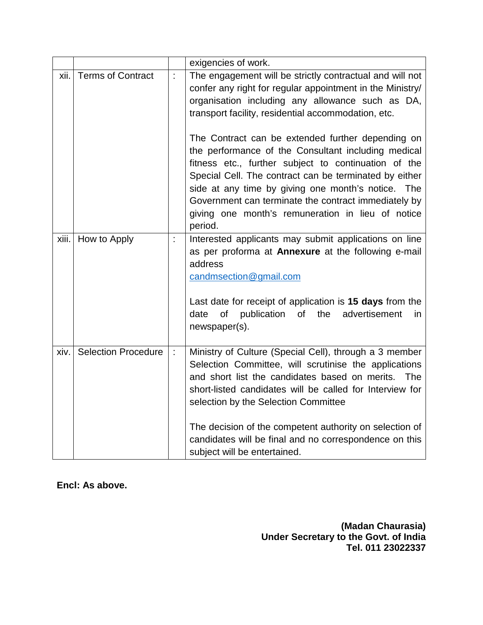|       |                            |    | exigencies of work.                                                                                                                                                                                                                                                                                                                                                                                                            |  |  |  |  |  |
|-------|----------------------------|----|--------------------------------------------------------------------------------------------------------------------------------------------------------------------------------------------------------------------------------------------------------------------------------------------------------------------------------------------------------------------------------------------------------------------------------|--|--|--|--|--|
| xii.  | <b>Terms of Contract</b>   | Ì. | The engagement will be strictly contractual and will not<br>confer any right for regular appointment in the Ministry/<br>organisation including any allowance such as DA,<br>transport facility, residential accommodation, etc.                                                                                                                                                                                               |  |  |  |  |  |
|       |                            |    | The Contract can be extended further depending on<br>the performance of the Consultant including medical<br>fitness etc., further subject to continuation of the<br>Special Cell. The contract can be terminated by either<br>side at any time by giving one month's notice. The<br>Government can terminate the contract immediately by<br>giving one month's remuneration in lieu of notice<br>period.                       |  |  |  |  |  |
| xiii. | How to Apply               | t  | Interested applicants may submit applications on line<br>as per proforma at Annexure at the following e-mail<br>address<br>candmsection@gmail.com<br>Last date for receipt of application is 15 days from the<br>of<br>publication<br>of b<br>the<br>date<br>advertisement<br>in<br>newspaper(s).                                                                                                                              |  |  |  |  |  |
| xiv.  | <b>Selection Procedure</b> | ÷  | Ministry of Culture (Special Cell), through a 3 member<br>Selection Committee, will scrutinise the applications<br>and short list the candidates based on merits. The<br>short-listed candidates will be called for Interview for<br>selection by the Selection Committee<br>The decision of the competent authority on selection of<br>candidates will be final and no correspondence on this<br>subject will be entertained. |  |  |  |  |  |

**Encl: As above.**

**(Madan Chaurasia) Under Secretary to the Govt. of India Tel. 011 23022337**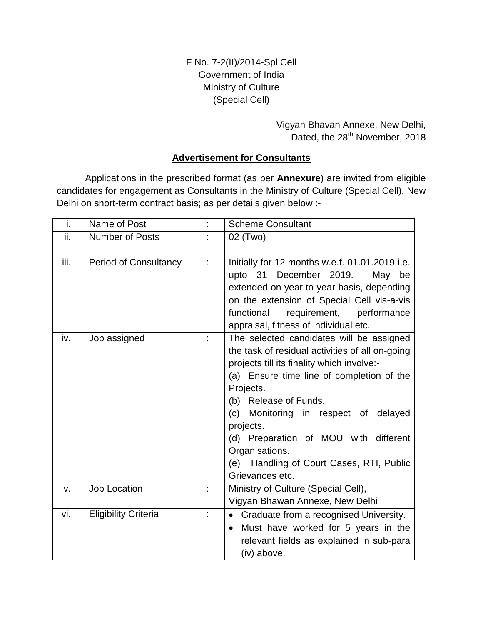F No. 7-2(II)/2014-Spl Cell Government of India Ministry of Culture (Special Cell)

> Vigyan Bhavan Annexe, New Delhi, Dated, the 28<sup>th</sup> November, 2018

## **Advertisement for Consultants**

Applications in the prescribed format (as per **Annexure**) are invited from eligible candidates for engagement as Consultants in the Ministry of Culture (Special Cell), New Delhi on short-term contract basis; as per details given below :-

| i.   | Name of Post                 | t | <b>Scheme Consultant</b>                                                                                                                                                                                                                                                                                                                                                                                       |  |  |
|------|------------------------------|---|----------------------------------------------------------------------------------------------------------------------------------------------------------------------------------------------------------------------------------------------------------------------------------------------------------------------------------------------------------------------------------------------------------------|--|--|
| ii.  | <b>Number of Posts</b>       |   | 02 (Two)                                                                                                                                                                                                                                                                                                                                                                                                       |  |  |
| iii. | <b>Period of Consultancy</b> | t | Initially for 12 months w.e.f. 01.01.2019 i.e.<br>upto 31 December 2019.<br>May<br>be<br>extended on year to year basis, depending<br>on the extension of Special Cell vis-a-vis<br>functional<br>requirement,<br>performance<br>appraisal, fitness of individual etc.                                                                                                                                         |  |  |
| iv.  | Job assigned                 |   | The selected candidates will be assigned<br>the task of residual activities of all on-going<br>projects till its finality which involve:-<br>(a) Ensure time line of completion of the<br>Projects.<br>(b) Release of Funds.<br>(c) Monitoring in respect of delayed<br>projects.<br>(d) Preparation of MOU with different<br>Organisations.<br>Handling of Court Cases, RTI, Public<br>(e)<br>Grievances etc. |  |  |
| V.   | <b>Job Location</b>          |   | Ministry of Culture (Special Cell),<br>Vigyan Bhawan Annexe, New Delhi                                                                                                                                                                                                                                                                                                                                         |  |  |
| vi.  | <b>Eligibility Criteria</b>  | t | • Graduate from a recognised University.<br>Must have worked for 5 years in the<br>relevant fields as explained in sub-para<br>(iv) above.                                                                                                                                                                                                                                                                     |  |  |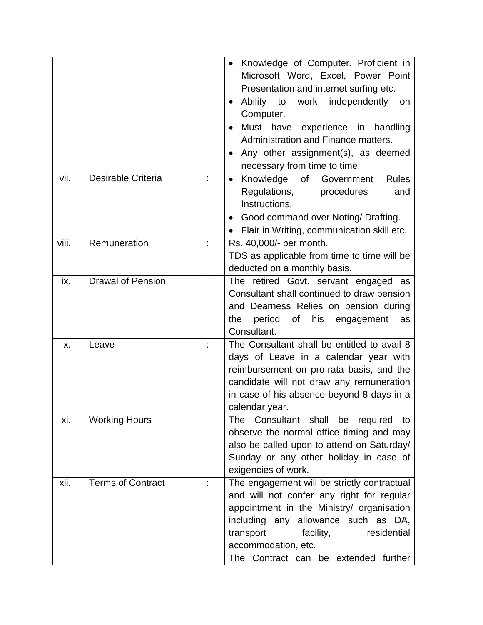|       |                          | Knowledge of Computer. Proficient in<br>Microsoft Word, Excel, Power Point<br>Presentation and internet surfing etc.<br>Ability to work independently<br>on<br>$\bullet$<br>Computer.<br>Must have<br>experience in handling<br>Administration and Finance matters.<br>Any other assignment(s), as deemed<br>$\bullet$<br>necessary from time to time. |
|-------|--------------------------|--------------------------------------------------------------------------------------------------------------------------------------------------------------------------------------------------------------------------------------------------------------------------------------------------------------------------------------------------------|
| vii.  | Desirable Criteria       | <b>Rules</b><br>Knowledge<br>of<br>Government<br>$\bullet$<br>Regulations,<br>procedures<br>and<br>Instructions.<br>Good command over Noting/ Drafting.<br>Flair in Writing, communication skill etc.                                                                                                                                                  |
| viii. | Remuneration             | Rs. 40,000/- per month.<br>TDS as applicable from time to time will be<br>deducted on a monthly basis.                                                                                                                                                                                                                                                 |
| ix.   | <b>Drawal of Pension</b> | The retired Govt. servant engaged as<br>Consultant shall continued to draw pension<br>and Dearness Relies on pension during<br>period of<br>the<br>his<br>engagement<br>as<br>Consultant.                                                                                                                                                              |
| X.    | Leave                    | The Consultant shall be entitled to avail 8<br>days of Leave in a calendar year with<br>reimbursement on pro-rata basis, and the<br>candidate will not draw any remuneration<br>in case of his absence beyond 8 days in a<br>calendar year.                                                                                                            |
| xi.   | <b>Working Hours</b>     | Consultant shall<br><b>The</b><br>be<br>required to<br>observe the normal office timing and may<br>also be called upon to attend on Saturday/<br>Sunday or any other holiday in case of<br>exigencies of work.                                                                                                                                         |
| xii.  | <b>Terms of Contract</b> | The engagement will be strictly contractual<br>and will not confer any right for regular<br>appointment in the Ministry/ organisation<br>including any allowance such as DA,<br>transport<br>facility,<br>residential<br>accommodation, etc.<br>The Contract can be extended further                                                                   |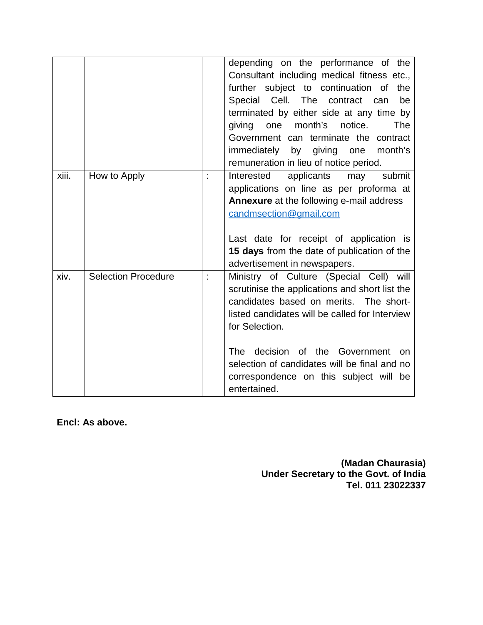|       |                            |                                                                                                                                                                                                                                                                                                                                            | depending on the performance of the<br>Consultant including medical fitness etc.,<br>further subject to continuation of the<br>Special Cell. The<br>contract<br>be<br>can<br>terminated by either side at any time by<br>month's<br>The<br>giving<br>one<br>notice.<br>Government can terminate the contract<br>month's<br>immediately by<br>giving<br>one<br>remuneration in lieu of notice period. |
|-------|----------------------------|--------------------------------------------------------------------------------------------------------------------------------------------------------------------------------------------------------------------------------------------------------------------------------------------------------------------------------------------|------------------------------------------------------------------------------------------------------------------------------------------------------------------------------------------------------------------------------------------------------------------------------------------------------------------------------------------------------------------------------------------------------|
| xiii. | How to Apply               |                                                                                                                                                                                                                                                                                                                                            | Interested<br>applicants<br>submit<br>may<br>applications on line as per proforma at<br><b>Annexure</b> at the following e-mail address<br>candmsection@gmail.com<br>Last date for receipt of application is<br>15 days from the date of publication of the<br>advertisement in newspapers.                                                                                                          |
| xiv.  | <b>Selection Procedure</b> | Ministry of Culture (Special Cell) will<br>scrutinise the applications and short list the<br>candidates based on merits. The short-<br>listed candidates will be called for Interview<br>for Selection.<br>decision<br>The<br>of<br>selection of candidates will be final and no<br>correspondence on this subject will be<br>entertained. |                                                                                                                                                                                                                                                                                                                                                                                                      |

**Encl: As above.**

**(Madan Chaurasia) Under Secretary to the Govt. of India Tel. 011 23022337**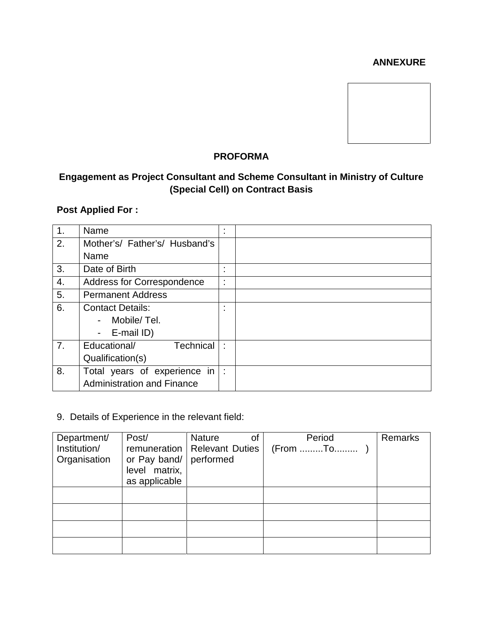### **ANNEXURE**



# **PROFORMA**

# **Engagement as Project Consultant and Scheme Consultant in Ministry of Culture (Special Cell) on Contract Basis**

# **Post Applied For :**

| $\mathbf 1$ . | Name                                    | ٠  |  |
|---------------|-----------------------------------------|----|--|
| 2.            | Mother's/ Father's/ Husband's           |    |  |
|               | Name                                    |    |  |
| 3.            | Date of Birth                           | ٠  |  |
| 4.            | Address for Correspondence              | ٠  |  |
| 5.            | <b>Permanent Address</b>                |    |  |
| 6.            | <b>Contact Details:</b>                 | ٠  |  |
|               | Mobile/Tel.<br>$\overline{\phantom{0}}$ |    |  |
|               | - E-mail ID)                            |    |  |
| 7.            | <b>Technical</b><br>Educational/        | ٠. |  |
|               | Qualification(s)                        |    |  |
| 8.            | Total years of experience in            | ÷  |  |
|               | <b>Administration and Finance</b>       |    |  |

### 9. Details of Experience in the relevant field:

| Department/  | Post/         | <b>Nature</b><br>οf            | Period   | Remarks |
|--------------|---------------|--------------------------------|----------|---------|
| Institution/ |               | remuneration   Relevant Duties | (From To |         |
| Organisation | or Pay band/  | performed                      |          |         |
|              | level matrix, |                                |          |         |
|              | as applicable |                                |          |         |
|              |               |                                |          |         |
|              |               |                                |          |         |
|              |               |                                |          |         |
|              |               |                                |          |         |
|              |               |                                |          |         |
|              |               |                                |          |         |